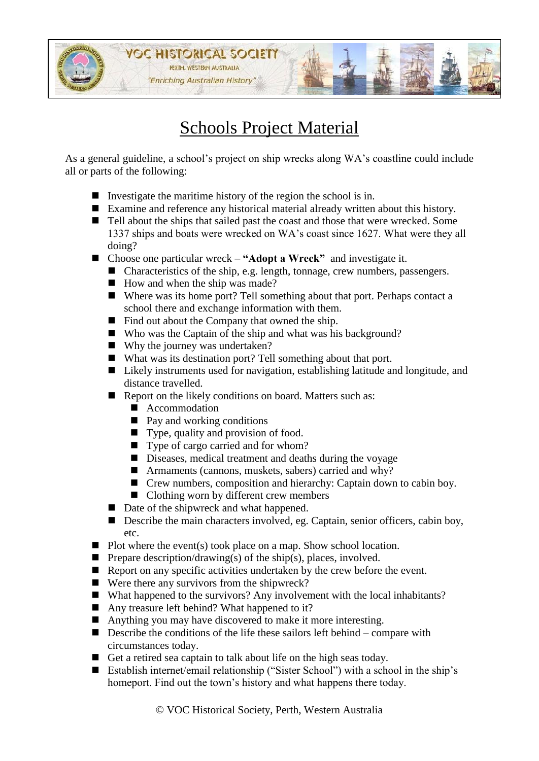

## Schools Project Material

As a general guideline, a school's project on ship wrecks along WA's coastline could include all or parts of the following:

- Investigate the maritime history of the region the school is in.
- Examine and reference any historical material already written about this history.
- Tell about the ships that sailed past the coast and those that were wrecked. Some 1337 ships and boats were wrecked on WA's coast since 1627. What were they all doing?
- Choose one particular wreck "**Adopt a Wreck"** and investigate it.
	- Characteristics of the ship, e.g. length, tonnage, crew numbers, passengers.
	- $\blacksquare$  How and when the ship was made?
	- Where was its home port? Tell something about that port. Perhaps contact a school there and exchange information with them.
	- Find out about the Company that owned the ship.
	- Who was the Captain of the ship and what was his background?
	- Why the journey was undertaken?
	- What was its destination port? Tell something about that port.
	- Likely instruments used for navigation, establishing latitude and longitude, and distance travelled.
	- Report on the likely conditions on board. Matters such as:
		- **Accommodation**
		- $\blacksquare$  Pay and working conditions
		- Type, quality and provision of food.
		- Type of cargo carried and for whom?
		- Diseases, medical treatment and deaths during the voyage
		- Armaments (cannons, muskets, sabers) carried and why?
		- Crew numbers, composition and hierarchy: Captain down to cabin boy.
		- Clothing worn by different crew members
	- Date of the shipwreck and what happened.
	- Describe the main characters involved, eg. Captain, senior officers, cabin boy, etc.
- $\blacksquare$  Plot where the event(s) took place on a map. Show school location.
- **Prepare description/drawing(s)** of the ship(s), places, involved.
- Report on any specific activities undertaken by the crew before the event.
- Were there any survivors from the shipwreck?
- What happened to the survivors? Any involvement with the local inhabitants?
- Any treasure left behind? What happened to it?
- Anything you may have discovered to make it more interesting.
- $\blacksquare$  Describe the conditions of the life these sailors left behind compare with circumstances today.
- Get a retired sea captain to talk about life on the high seas today.
- Establish internet/email relationship ("Sister School") with a school in the ship's homeport. Find out the town's history and what happens there today.